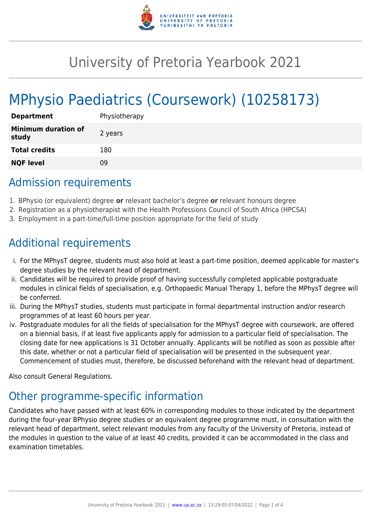

## University of Pretoria Yearbook 2021

# MPhysio Paediatrics (Coursework) (10258173)

| <b>Department</b>                   | Physiotherapy |
|-------------------------------------|---------------|
| <b>Minimum duration of</b><br>study | 2 years       |
| <b>Total credits</b>                | 180           |
| <b>NQF level</b>                    | Ωd            |

### Admission requirements

- 1. BPhysio (or equivalent) degree **or** relevant bachelor's degree **or** relevant honours degree
- 2. Registration as a physiotherapist with the Health Professions Council of South Africa (HPCSA)
- 3. Employment in a part-time/full-time position appropriate for the field of study

### Additional requirements

- i. For the MPhysT degree, students must also hold at least a part-time position, deemed applicable for master's degree studies by the relevant head of department.
- ii. Candidates will be required to provide proof of having successfully completed applicable postgraduate modules in clinical fields of specialisation, e.g. Orthopaedic Manual Therapy 1, before the MPhysT degree will be conferred.
- iii. During the MPhysT studies, students must participate in formal departmental instruction and/or research programmes of at least 60 hours per year.
- iv. Postgraduate modules for all the fields of specialisation for the MPhysT degree with coursework, are offered on a biennial basis, if at least five applicants apply for admission to a particular field of specialisation. The closing date for new applications is 31 October annually. Applicants will be notified as soon as possible after this date, whether or not a particular field of specialisation will be presented in the subsequent year. Commencement of studies must, therefore, be discussed beforehand with the relevant head of department.

Also consult General Regulations.

### Other programme-specific information

Candidates who have passed with at least 60% in corresponding modules to those indicated by the department during the four-year BPhysio degree studies or an equivalent degree programme must, in consultation with the relevant head of department, select relevant modules from any faculty of the University of Pretoria, instead of the modules in question to the value of at least 40 credits, provided it can be accommodated in the class and examination timetables.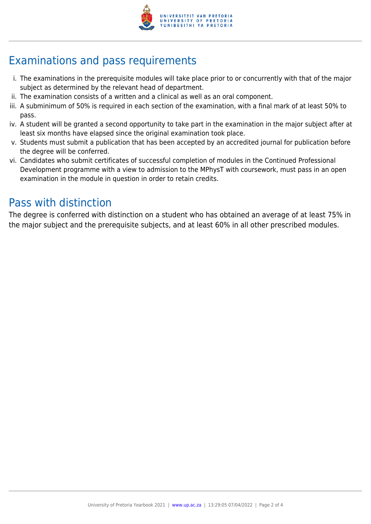

### Examinations and pass requirements

- i. The examinations in the prerequisite modules will take place prior to or concurrently with that of the major subject as determined by the relevant head of department.
- ii. The examination consists of a written and a clinical as well as an oral component.
- iii. A subminimum of 50% is required in each section of the examination, with a final mark of at least 50% to pass.
- iv. A student will be granted a second opportunity to take part in the examination in the major subject after at least six months have elapsed since the original examination took place.
- v. Students must submit a publication that has been accepted by an accredited journal for publication before the degree will be conferred.
- vi. Candidates who submit certificates of successful completion of modules in the Continued Professional Development programme with a view to admission to the MPhysT with coursework, must pass in an open examination in the module in question in order to retain credits.

#### Pass with distinction

The degree is conferred with distinction on a student who has obtained an average of at least 75% in the major subject and the prerequisite subjects, and at least 60% in all other prescribed modules.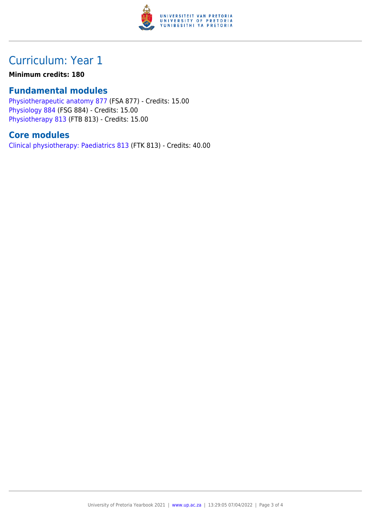

### Curriculum: Year 1

#### **Minimum credits: 180**

#### **Fundamental modules**

[Physiotherapeutic anatomy 877](https://www.up.ac.za/yearbooks/2021/modules/view/FSA 877) (FSA 877) - Credits: 15.00 [Physiology 884](https://www.up.ac.za/yearbooks/2021/modules/view/FSG 884) (FSG 884) - Credits: 15.00 [Physiotherapy 813](https://www.up.ac.za/yearbooks/2021/modules/view/FTB 813) (FTB 813) - Credits: 15.00

#### **Core modules**

[Clinical physiotherapy: Paediatrics 813](https://www.up.ac.za/yearbooks/2021/modules/view/FTK 813) (FTK 813) - Credits: 40.00